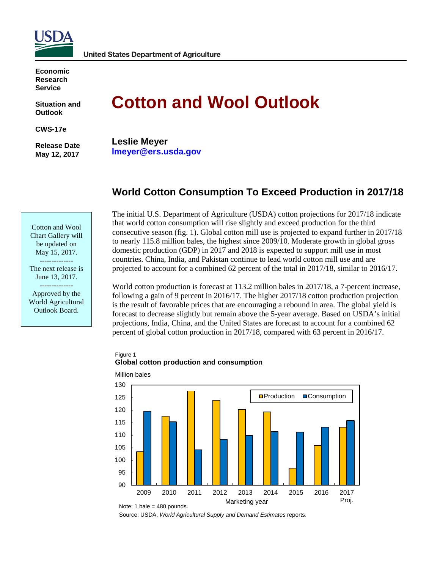

**Economic Research Service**

**Situation and Outlook**

**CWS-17e**

**Release Date May 12, 2017**

# **Cotton and Wool Outlook**

**Leslie Meyer lmeyer@ers.usda.gov**

# **World Cotton Consumption To Exceed Production in 2017/18**

Cotton and Wool Chart Gallery will be updated on May 15, 2017.

-------------- The next release is June 13, 2017. --------------

Approved by the World Agricultural Outlook Board.

The initial U.S. Department of Agriculture (USDA) cotton projections for 2017/18 indicate that world cotton consumption will rise slightly and exceed production for the third consecutive season (fig. 1). Global cotton mill use is projected to expand further in 2017/18 to nearly 115.8 million bales, the highest since 2009/10. Moderate growth in global gross domestic production (GDP) in 2017 and 2018 is expected to support mill use in most countries. China, India, and Pakistan continue to lead world cotton mill use and are projected to account for a combined 62 percent of the total in 2017/18, similar to 2016/17.

World cotton production is forecast at 113.2 million bales in 2017/18, a 7-percent increase, following a gain of 9 percent in 2016/17. The higher 2017/18 cotton production projection is the result of favorable prices that are encouraging a rebound in area. The global yield is forecast to decrease slightly but remain above the 5-year average. Based on USDA's initial projections, India, China, and the United States are forecast to account for a combined 62 percent of global cotton production in 2017/18, compared with 63 percent in 2016/17.

#### Figure 1 **Global cotton production and consumption**



Million bales

Note: 1 bale = 480 pounds.

Source: USDA, *World Agricultural Supply and Demand Estimates* reports.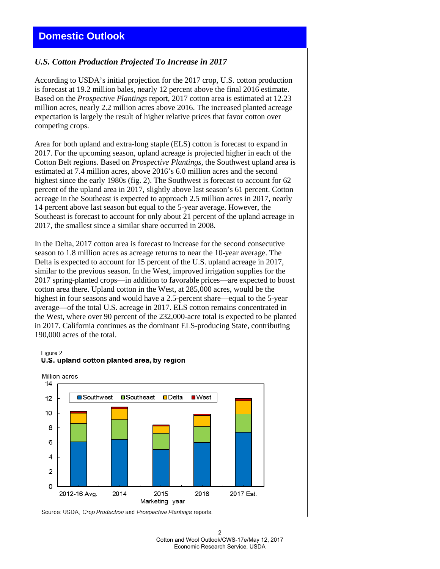## *U.S. Cotton Production Projected To Increase in 2017*

According to USDA's initial projection for the 2017 crop, U.S. cotton production is forecast at 19.2 million bales, nearly 12 percent above the final 2016 estimate. Based on the *Prospective Plantings* report, 2017 cotton area is estimated at 12.23 million acres, nearly 2.2 million acres above 2016. The increased planted acreage expectation is largely the result of higher relative prices that favor cotton over competing crops.

Area for both upland and extra-long staple (ELS) cotton is forecast to expand in 2017. For the upcoming season, upland acreage is projected higher in each of the Cotton Belt regions. Based on *Prospective Plantings*, the Southwest upland area is estimated at 7.4 million acres, above 2016's 6.0 million acres and the second highest since the early 1980s (fig. 2). The Southwest is forecast to account for 62 percent of the upland area in 2017, slightly above last season's 61 percent. Cotton acreage in the Southeast is expected to approach 2.5 million acres in 2017, nearly 14 percent above last season but equal to the 5-year average. However, the Southeast is forecast to account for only about 21 percent of the upland acreage in 2017, the smallest since a similar share occurred in 2008.

In the Delta, 2017 cotton area is forecast to increase for the second consecutive season to 1.8 million acres as acreage returns to near the 10-year average. The Delta is expected to account for 15 percent of the U.S. upland acreage in 2017, similar to the previous season. In the West, improved irrigation supplies for the 2017 spring-planted crops—in addition to favorable prices—are expected to boost cotton area there. Upland cotton in the West, at 285,000 acres, would be the highest in four seasons and would have a 2.5-percent share—equal to the 5-year average—of the total U.S. acreage in 2017. ELS cotton remains concentrated in the West, where over 90 percent of the 232,000-acre total is expected to be planted in 2017. California continues as the dominant ELS-producing State, contributing 190,000 acres of the total.

Figure 2



#### U.S. upland cotton planted area, by region

Source: USDA, Crop Production and Prospective Plantings reports.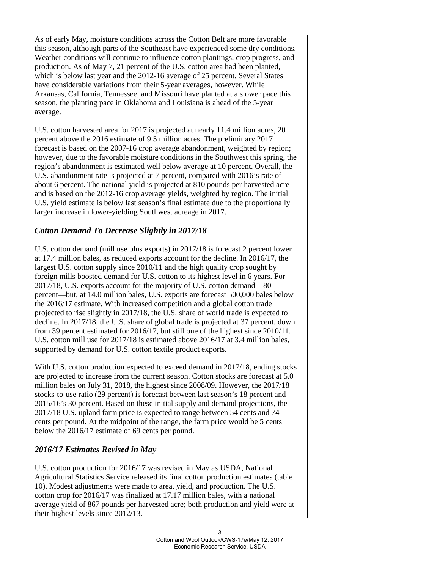As of early May, moisture conditions across the Cotton Belt are more favorable this season, although parts of the Southeast have experienced some dry conditions. Weather conditions will continue to influence cotton plantings, crop progress, and production. As of May 7, 21 percent of the U.S. cotton area had been planted, which is below last year and the 2012-16 average of 25 percent. Several States have considerable variations from their 5-year averages, however. While Arkansas, California, Tennessee, and Missouri have planted at a slower pace this season, the planting pace in Oklahoma and Louisiana is ahead of the 5-year average.

U.S. cotton harvested area for 2017 is projected at nearly 11.4 million acres, 20 percent above the 2016 estimate of 9.5 million acres. The preliminary 2017 forecast is based on the 2007-16 crop average abandonment, weighted by region; however, due to the favorable moisture conditions in the Southwest this spring, the region's abandonment is estimated well below average at 10 percent. Overall, the U.S. abandonment rate is projected at 7 percent, compared with 2016's rate of about 6 percent. The national yield is projected at 810 pounds per harvested acre and is based on the 2012-16 crop average yields, weighted by region. The initial U.S. yield estimate is below last season's final estimate due to the proportionally larger increase in lower-yielding Southwest acreage in 2017.

# *Cotton Demand To Decrease Slightly in 2017/18*

U.S. cotton demand (mill use plus exports) in 2017/18 is forecast 2 percent lower at 17.4 million bales, as reduced exports account for the decline. In 2016/17, the largest U.S. cotton supply since 2010/11 and the high quality crop sought by foreign mills boosted demand for U.S. cotton to its highest level in 6 years. For 2017/18, U.S. exports account for the majority of U.S. cotton demand—80 percent—but, at 14.0 million bales, U.S. exports are forecast 500,000 bales below the 2016/17 estimate. With increased competition and a global cotton trade projected to rise slightly in 2017/18, the U.S. share of world trade is expected to decline. In 2017/18, the U.S. share of global trade is projected at 37 percent, down from 39 percent estimated for 2016/17, but still one of the highest since 2010/11. U.S. cotton mill use for 2017/18 is estimated above 2016/17 at 3.4 million bales, supported by demand for U.S. cotton textile product exports.

With U.S. cotton production expected to exceed demand in 2017/18, ending stocks are projected to increase from the current season. Cotton stocks are forecast at 5.0 million bales on July 31, 2018, the highest since 2008/09. However, the 2017/18 stocks-to-use ratio (29 percent) is forecast between last season's 18 percent and 2015/16's 30 percent. Based on these initial supply and demand projections, the 2017/18 U.S. upland farm price is expected to range between 54 cents and 74 cents per pound. At the midpoint of the range, the farm price would be 5 cents below the 2016/17 estimate of 69 cents per pound.

# *2016/17 Estimates Revised in May*

U.S. cotton production for 2016/17 was revised in May as USDA, National Agricultural Statistics Service released its final cotton production estimates (table 10). Modest adjustments were made to area, yield, and production. The U.S. cotton crop for 2016/17 was finalized at 17.17 million bales, with a national average yield of 867 pounds per harvested acre; both production and yield were at their highest levels since 2012/13.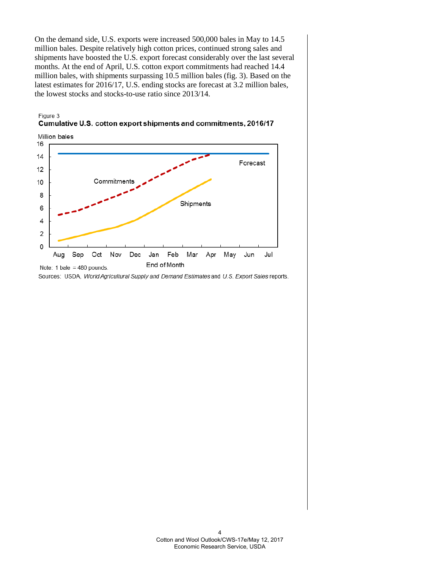On the demand side, U.S. exports were increased 500,000 bales in May to 14.5 million bales. Despite relatively high cotton prices, continued strong sales and shipments have boosted the U.S. export forecast considerably over the last several months. At the end of April, U.S. cotton export commitments had reached 14.4 million bales, with shipments surpassing 10.5 million bales (fig. 3). Based on the latest estimates for 2016/17, U.S. ending stocks are forecast at 3.2 million bales, the lowest stocks and stocks-to-use ratio since 2013/14.





Sources: USDA, World Agricultural Supply and Demand Estimates and U.S. Export Sales reports.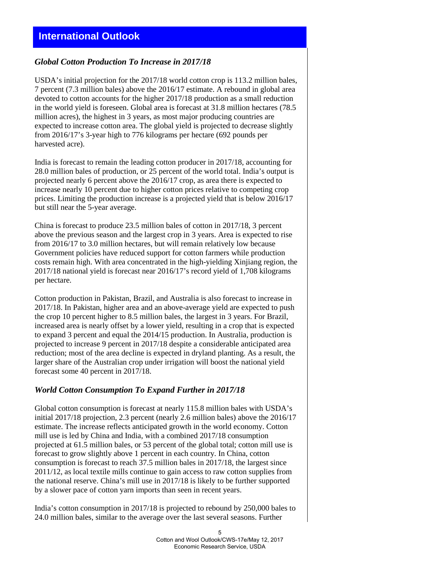# *Global Cotton Production To Increase in 2017/18*

USDA's initial projection for the 2017/18 world cotton crop is 113.2 million bales, 7 percent (7.3 million bales) above the 2016/17 estimate. A rebound in global area devoted to cotton accounts for the higher 2017/18 production as a small reduction in the world yield is foreseen. Global area is forecast at 31.8 million hectares (78.5 million acres), the highest in 3 years, as most major producing countries are expected to increase cotton area. The global yield is projected to decrease slightly from 2016/17's 3-year high to 776 kilograms per hectare (692 pounds per harvested acre).

India is forecast to remain the leading cotton producer in 2017/18, accounting for 28.0 million bales of production, or 25 percent of the world total. India's output is projected nearly 6 percent above the 2016/17 crop, as area there is expected to increase nearly 10 percent due to higher cotton prices relative to competing crop prices. Limiting the production increase is a projected yield that is below 2016/17 but still near the 5-year average.

China is forecast to produce 23.5 million bales of cotton in 2017/18, 3 percent above the previous season and the largest crop in 3 years. Area is expected to rise from 2016/17 to 3.0 million hectares, but will remain relatively low because Government policies have reduced support for cotton farmers while production costs remain high. With area concentrated in the high-yielding Xinjiang region, the 2017/18 national yield is forecast near 2016/17's record yield of 1,708 kilograms per hectare.

Cotton production in Pakistan, Brazil, and Australia is also forecast to increase in 2017/18. In Pakistan, higher area and an above-average yield are expected to push the crop 10 percent higher to 8.5 million bales, the largest in 3 years. For Brazil, increased area is nearly offset by a lower yield, resulting in a crop that is expected to expand 3 percent and equal the 2014/15 production. In Australia, production is projected to increase 9 percent in 2017/18 despite a considerable anticipated area reduction; most of the area decline is expected in dryland planting. As a result, the larger share of the Australian crop under irrigation will boost the national yield forecast some 40 percent in 2017/18.

# *World Cotton Consumption To Expand Further in 2017/18*

Global cotton consumption is forecast at nearly 115.8 million bales with USDA's initial 2017/18 projection, 2.3 percent (nearly 2.6 million bales) above the 2016/17 estimate. The increase reflects anticipated growth in the world economy. Cotton mill use is led by China and India, with a combined 2017/18 consumption projected at 61.5 million bales, or 53 percent of the global total; cotton mill use is forecast to grow slightly above 1 percent in each country. In China, cotton consumption is forecast to reach 37.5 million bales in 2017/18, the largest since 2011/12, as local textile mills continue to gain access to raw cotton supplies from the national reserve. China's mill use in 2017/18 is likely to be further supported by a slower pace of cotton yarn imports than seen in recent years.

India's cotton consumption in 2017/18 is projected to rebound by 250,000 bales to 24.0 million bales, similar to the average over the last several seasons. Further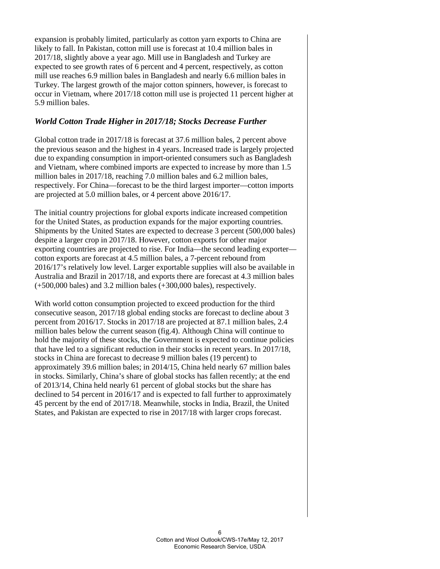expansion is probably limited, particularly as cotton yarn exports to China are likely to fall. In Pakistan, cotton mill use is forecast at 10.4 million bales in 2017/18, slightly above a year ago. Mill use in Bangladesh and Turkey are expected to see growth rates of 6 percent and 4 percent, respectively, as cotton mill use reaches 6.9 million bales in Bangladesh and nearly 6.6 million bales in Turkey. The largest growth of the major cotton spinners, however, is forecast to occur in Vietnam, where 2017/18 cotton mill use is projected 11 percent higher at 5.9 million bales.

# *World Cotton Trade Higher in 2017/18; Stocks Decrease Further*

Global cotton trade in 2017/18 is forecast at 37.6 million bales, 2 percent above the previous season and the highest in 4 years. Increased trade is largely projected due to expanding consumption in import-oriented consumers such as Bangladesh and Vietnam, where combined imports are expected to increase by more than 1.5 million bales in 2017/18, reaching 7.0 million bales and 6.2 million bales, respectively. For China—forecast to be the third largest importer—cotton imports are projected at 5.0 million bales, or 4 percent above 2016/17.

The initial country projections for global exports indicate increased competition for the United States, as production expands for the major exporting countries. Shipments by the United States are expected to decrease 3 percent (500,000 bales) despite a larger crop in 2017/18. However, cotton exports for other major exporting countries are projected to rise. For India—the second leading exporter cotton exports are forecast at 4.5 million bales, a 7-percent rebound from 2016/17's relatively low level. Larger exportable supplies will also be available in Australia and Brazil in 2017/18, and exports there are forecast at 4.3 million bales (+500,000 bales) and 3.2 million bales (+300,000 bales), respectively.

With world cotton consumption projected to exceed production for the third consecutive season, 2017/18 global ending stocks are forecast to decline about 3 percent from 2016/17. Stocks in 2017/18 are projected at 87.1 million bales, 2.4 million bales below the current season (fig.4). Although China will continue to hold the majority of these stocks, the Government is expected to continue policies that have led to a significant reduction in their stocks in recent years. In 2017/18, stocks in China are forecast to decrease 9 million bales (19 percent) to approximately 39.6 million bales; in 2014/15, China held nearly 67 million bales in stocks. Similarly, China's share of global stocks has fallen recently; at the end of 2013/14, China held nearly 61 percent of global stocks but the share has declined to 54 percent in 2016/17 and is expected to fall further to approximately 45 percent by the end of 2017/18. Meanwhile, stocks in India, Brazil, the United States, and Pakistan are expected to rise in 2017/18 with larger crops forecast.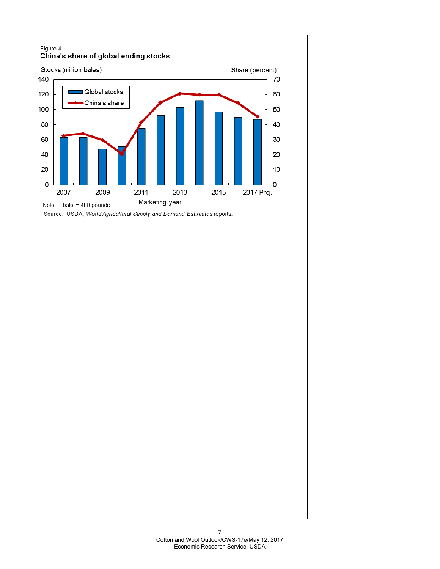#### Figure 4 China's share of global ending stocks



Source: USDA, World Agricultural Supply and Demand Estimates reports.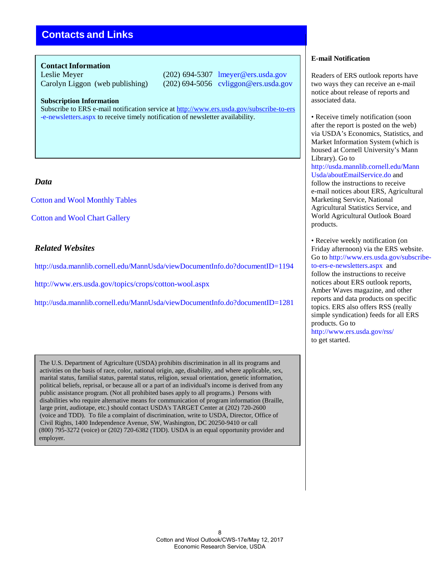# **Contacts and Links**

#### **Contact Information**

Leslie Meyer (202) 694-5307 lmeyer@ers.usda.gov Carolyn Liggon (web publishing) (202) 694-5056 cvliggon@ers.usda.gov

#### **Subscription Information**

Subscribe to ERS e-mail notification service at <http://www.ers.usda.gov/subscribe-to-ers> [-e-newsletters.aspx t](http://www.ers.usda.gov/subscribe-to-ers-e-newsletters.aspx)o receive timely notification of newsletter availability.

## *Data*

Cotton and [Wool Monthly Tables](http://ers.usda.gov/publications/cws-cotton-and-wool-outlook)

[Cotton and Wool Chart](http://www.ers.usda.gov/data-products/cotton-and-%20wool-chart-gallery.aspx#.UguTC6z8J8E) Gallery

## *Related Websites*

<http://usda.mannlib.cornell.edu/MannUsda/viewDocumentInfo.do?documentID=1194>

<http://www.ers.usda.gov/topics/crops/cotton-wool.aspx>

<http://usda.mannlib.cornell.edu/MannUsda/viewDocumentInfo.do?documentID=1281>

The U.S. Department of Agriculture (USDA) prohibits discrimination in all its programs and activities on the basis of race, color, national origin, age, disability, and where applicable, sex, marital status, familial status, parental status, religion, sexual orientation, genetic information, political beliefs, reprisal, or because all or a part of an individual's income is derived from any public assistance program. (Not all prohibited bases apply to all programs.) Persons with disabilities who require alternative means for communication of program information (Braille, large print, audiotape, etc.) should contact USDA's TARGET Center at (202) 720-2600 (voice and TDD). To file a complaint of discrimination, write to USDA, Director, Office of Civil Rights, 1400 Independence Avenue, SW, Washington, DC 20250-9410 or call (800) 795-3272 (voice) or (202) 720-6382 (TDD). USDA is an equal opportunity provider and employer.

#### **E-mail Notification**

Readers of ERS outlook reports have two ways they can receive an e-mail notice about release of reports and associated data.

• Receive timely notification (soon) after the report is posted on the web) via USDA's Economics, Statistics, and Market Information System (which is housed at Cornell University's Mann Library). Go to [http://usda.mannlib.cornell.edu/Mann](http://usda.mannlib.cornell.edu/MannUsda/aboutEmailService.do) [Usda/aboutEmailService.do a](http://usda.mannlib.cornell.edu/MannUsda/aboutEmailService.do)nd follow the instructions to receive e-mail notices about ERS, Agricultural Marketing Service, National Agricultural Statistics Service, and World Agricultural Outlook Board products.

• Receive weekly notification (on Friday afternoon) via the ERS website. Go to [http://www.ers.usda.gov/subscribe](http://www.ers.usda.gov/subscribe-)to-ers-e-newsletters.aspx and follow the instructions to receive notices about ERS outlook reports, Amber Waves magazine, and other reports and data products on specific topics. ERS also offers RSS (really simple syndication) feeds for all ERS products. Go to <http://www.ers.usda.gov/rss/> to get started.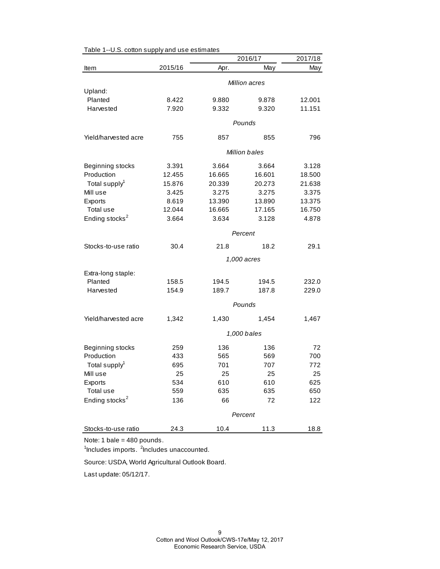|                            |               |        | 2016/17              | 2017/18 |
|----------------------------|---------------|--------|----------------------|---------|
| Item                       | 2015/16       | Apr.   | May                  | May     |
|                            | Million acres |        |                      |         |
| Upland:                    |               |        |                      |         |
| Planted                    | 8.422         | 9.880  | 9.878                | 12.001  |
| Harvested                  | 7.920         | 9.332  | 9.320                | 11.151  |
|                            |               |        | Pounds               |         |
| Yield/harvested acre       | 755           | 857    | 855                  | 796     |
|                            |               |        | <b>Million bales</b> |         |
| Beginning stocks           | 3.391         | 3.664  | 3.664                | 3.128   |
| Production                 | 12.455        | 16.665 | 16.601               | 18.500  |
| Total supply <sup>1</sup>  | 15.876        | 20.339 | 20.273               | 21.638  |
| Mill use                   | 3.425         | 3.275  | 3.275                | 3.375   |
| Exports                    | 8.619         | 13.390 | 13.890               | 13.375  |
| Total use                  | 12.044        | 16.665 | 17.165               | 16.750  |
| Ending stocks <sup>2</sup> | 3.664         | 3.634  | 3.128                | 4.878   |
|                            | Percent       |        |                      |         |
| Stocks-to-use ratio        | 30.4          | 21.8   | 18.2                 | 29.1    |
|                            |               |        | 1,000 acres          |         |
| Extra-long staple:         |               |        |                      |         |
| Planted                    | 158.5         | 194.5  | 194.5                | 232.0   |
| Harvested                  | 154.9         | 189.7  | 187.8                | 229.0   |
|                            |               |        |                      |         |
|                            |               |        | Pounds               |         |
| Yield/harvested acre       | 1,342         | 1,430  | 1,454                | 1,467   |
|                            | 1,000 bales   |        |                      |         |
| Beginning stocks           | 259           | 136    | 136                  | 72      |
| Production                 | 433           | 565    | 569                  | 700     |
| Total supply <sup>1</sup>  | 695           | 701    | 707                  | 772     |
| Mill use                   | 25            | 25     | 25                   | 25      |
| Exports                    | 534           | 610    | 610                  | 625     |
| Total use                  | 559           | 635    | 635                  | 650     |
| Ending stocks <sup>2</sup> | 136           | 66     | 72                   | 122     |
|                            |               |        | Percent              |         |
| Stocks-to-use ratio        | 24.3          | 10.4   | 11.3                 | 18.8    |
|                            |               |        |                      |         |

Table 1--U.S. cotton supply and use estimates

Note: 1 bale = 480 pounds.

<sup>1</sup>Includes imports. <sup>2</sup>Includes unaccounted.

Source: USDA, World Agricultural Outlook Board.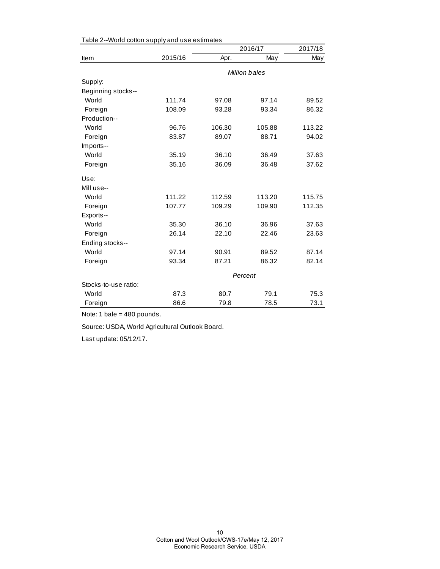|                      |         | 2016/17 | 2017/18       |        |
|----------------------|---------|---------|---------------|--------|
| Item                 | 2015/16 | Apr.    | May           | May    |
|                      |         |         | Million bales |        |
| Supply:              |         |         |               |        |
| Beginning stocks--   |         |         |               |        |
| World                | 111.74  | 97.08   | 97.14         | 89.52  |
| Foreign              | 108.09  | 93.28   | 93.34         | 86.32  |
| Production--         |         |         |               |        |
| World                | 96.76   | 106.30  | 105.88        | 113.22 |
| Foreign              | 83.87   | 89.07   | 88.71         | 94.02  |
| Imports--            |         |         |               |        |
| World                | 35.19   | 36.10   | 36.49         | 37.63  |
| Foreign              | 35.16   | 36.09   | 36.48         | 37.62  |
| Use:                 |         |         |               |        |
| Mill use--           |         |         |               |        |
| World                | 111.22  | 112.59  | 113.20        | 115.75 |
| Foreign              | 107.77  | 109.29  | 109.90        | 112.35 |
| Exports--            |         |         |               |        |
| World                | 35.30   | 36.10   | 36.96         | 37.63  |
| Foreign              | 26.14   | 22.10   | 22.46         | 23.63  |
| Ending stocks--      |         |         |               |        |
| World                | 97.14   | 90.91   | 89.52         | 87.14  |
| Foreign              | 93.34   | 87.21   | 86.32         | 82.14  |
|                      | Percent |         |               |        |
| Stocks-to-use ratio: |         |         |               |        |
| World                | 87.3    | 80.7    | 79.1          | 75.3   |
| Foreign              | 86.6    | 79.8    | 78.5          | 73.1   |

Table 2--World cotton supply and use estimates

Note: 1 bale = 480 pounds.

Source: USDA, World Agricultural Outlook Board.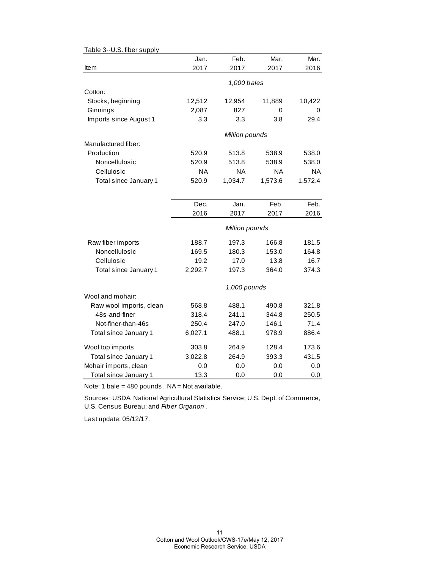| rabic o--o.o. libci suppij |           |                |         |           |
|----------------------------|-----------|----------------|---------|-----------|
|                            | Jan.      | Feb.           | Mar.    | Mar.      |
| Item                       | 2017      | 2017           | 2017    | 2016      |
|                            |           | 1,000 bales    |         |           |
| Cotton:                    |           |                |         |           |
| Stocks, beginning          | 12,512    | 12,954         | 11,889  | 10,422    |
| Ginnings                   | 2,087     | 827            | 0       | $\Omega$  |
| Imports since August 1     | 3.3       | 3.3            | 3.8     | 29.4      |
|                            |           | Million pounds |         |           |
| Manufactured fiber:        |           |                |         |           |
| Production                 | 520.9     | 513.8          | 538.9   | 538.0     |
| Noncellulosic              | 520.9     | 513.8          | 538.9   | 538.0     |
| Cellulosic                 | <b>NA</b> | NA             | ΝA      | <b>NA</b> |
| Total since January 1      | 520.9     | 1,034.7        | 1,573.6 | 1,572.4   |
|                            |           |                |         |           |
|                            | Dec.      | Jan.           | Feb.    | Feb.      |
|                            | 2016      | 2017           | 2017    | 2016      |
|                            |           | Million pounds |         |           |
| Raw fiber imports          | 188.7     | 197.3          | 166.8   | 181.5     |
| Noncellulosic              | 169.5     | 180.3          | 153.0   | 164.8     |
| Cellulosic                 | 19.2      | 17.0           | 13.8    | 16.7      |
| Total since January 1      | 2,292.7   | 197.3          | 364.0   | 374.3     |
|                            |           | 1,000 pounds   |         |           |
| Wool and mohair:           |           |                |         |           |
| Raw wool imports, clean    | 568.8     | 488.1          | 490.8   | 321.8     |
| 48s-and-finer              | 318.4     | 241.1          | 344.8   | 250.5     |
| Not-finer-than-46s         | 250.4     | 247.0          | 146.1   | 71.4      |
| Total since January 1      | 6,027.1   | 488.1          | 978.9   | 886.4     |
| Wool top imports           | 303.8     | 264.9          | 128.4   | 173.6     |
| Total since January 1      | 3,022.8   | 264.9          | 393.3   | 431.5     |
| Mohair imports, clean      | 0.0       | 0.0            | 0.0     | 0.0       |
| Total since January 1      | 13.3      | 0.0            | 0.0     | 0.0       |

Table 3--U.S. fiber supply

Note: 1 bale = 480 pounds. NA = Not available.

Sources: USDA, National Agricultural Statistics Service; U.S. Dept. of Commerce, U.S. Census Bureau; and *Fiber Organon* .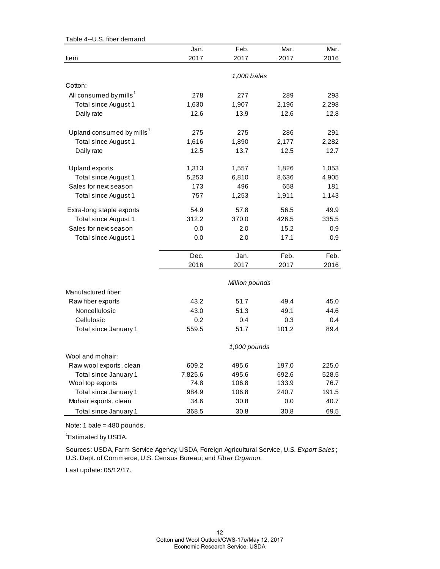| Table 4--U.S. fiber demand            |         |                |       |       |
|---------------------------------------|---------|----------------|-------|-------|
|                                       | Jan.    | Feb.           | Mar.  | Mar.  |
| Item                                  | 2017    | 2017           | 2017  | 2016  |
|                                       |         |                |       |       |
|                                       |         | 1,000 bales    |       |       |
| Cotton:                               |         |                |       |       |
| All consumed by mills <sup>1</sup>    | 278     | 277            | 289   | 293   |
| Total since August 1                  | 1,630   | 1,907          | 2,196 | 2,298 |
| Daily rate                            | 12.6    | 13.9           | 12.6  | 12.8  |
| Upland consumed by mills <sup>1</sup> | 275     | 275            | 286   | 291   |
| Total since August 1                  | 1,616   | 1,890          | 2,177 | 2,282 |
| Daily rate                            | 12.5    | 13.7           | 12.5  | 12.7  |
| Upland exports                        | 1,313   | 1,557          | 1,826 | 1,053 |
| Total since August 1                  | 5,253   | 6,810          | 8,636 | 4,905 |
| Sales for next season                 | 173     | 496            | 658   | 181   |
|                                       | 757     |                | 1,911 | 1,143 |
| Total since August 1                  |         | 1,253          |       |       |
| Extra-long staple exports             | 54.9    | 57.8           | 56.5  | 49.9  |
| Total since August 1                  | 312.2   | 370.0          | 426.5 | 335.5 |
| Sales for next season                 | 0.0     | 2.0            | 15.2  | 0.9   |
| Total since August 1                  | 0.0     | 2.0            | 17.1  | 0.9   |
|                                       | Dec.    | Jan.           | Feb.  | Feb.  |
|                                       | 2016    | 2017           | 2017  | 2016  |
|                                       |         |                |       |       |
| Manufactured fiber:                   |         | Million pounds |       |       |
|                                       | 43.2    | 51.7           | 49.4  | 45.0  |
| Raw fiber exports<br>Noncellulosic    | 43.0    | 51.3           | 49.1  | 44.6  |
|                                       |         |                |       |       |
| Cellulosic                            | 0.2     | 0.4            | 0.3   | 0.4   |
| Total since January 1                 | 559.5   | 51.7           | 101.2 | 89.4  |
|                                       |         | 1,000 pounds   |       |       |
| Wool and mohair:                      |         |                |       |       |
| Raw wool exports, clean               | 609.2   | 495.6          | 197.0 | 225.0 |
| Total since January 1                 | 7,825.6 | 495.6          | 692.6 | 528.5 |
| Wool top exports                      | 74.8    | 106.8          | 133.9 | 76.7  |
| Total since January 1                 | 984.9   | 106.8          | 240.7 | 191.5 |
| Mohair exports, clean                 | 34.6    | 30.8           | 0.0   | 40.7  |
| Total since January 1                 | 368.5   | 30.8           | 30.8  | 69.5  |

Note: 1 bale = 480 pounds.

<sup>1</sup>Estimated by USDA.

Sources: USDA, Farm Service Agency; USDA, Foreign Agricultural Service, *U.S. Export Sales* ; U.S. Dept. of Commerce, U.S. Census Bureau; and *Fiber Organon.*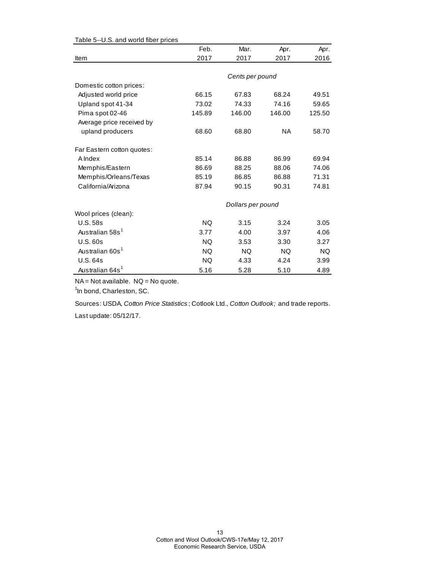| Table 3--0.3. and wond not prices |           |                   |           |        |
|-----------------------------------|-----------|-------------------|-----------|--------|
|                                   | Feb.      | Mar.              | Apr.      | Apr.   |
| Item                              | 2017      | 2017              | 2017      | 2016   |
|                                   |           |                   |           |        |
|                                   |           | Cents per pound   |           |        |
| Domestic cotton prices:           |           |                   |           |        |
| Adjusted world price              | 66.15     | 67.83             | 68.24     | 49.51  |
| Upland spot 41-34                 | 73.02     | 74.33             | 74.16     | 59.65  |
| Pima spot 02-46                   | 145.89    | 146.00            | 146.00    | 125.50 |
| Average price received by         |           |                   |           |        |
| upland producers                  | 68.60     | 68.80             | NA.       | 58.70  |
| Far Eastern cotton quotes:        |           |                   |           |        |
| A Index                           | 85.14     | 86.88             | 86.99     | 69.94  |
| Memphis/Eastern                   | 86.69     | 88.25             | 88.06     | 74.06  |
| Memphis/Orleans/Texas             | 85.19     | 86.85             | 86.88     | 71.31  |
| California/Arizona                | 87.94     | 90.15             | 90.31     | 74.81  |
|                                   |           | Dollars per pound |           |        |
| Wool prices (clean):              |           |                   |           |        |
| <b>U.S. 58s</b>                   | <b>NQ</b> | 3.15              | 3.24      | 3.05   |
| Australian 58s <sup>1</sup>       | 3.77      | 4.00              | 3.97      | 4.06   |
| U.S.60s                           | <b>NQ</b> | 3.53              | 3.30      | 3.27   |
| Australian 60s <sup>1</sup>       | <b>NQ</b> | <b>NQ</b>         | <b>NQ</b> | NQ.    |
| <b>U.S. 64s</b>                   | <b>NQ</b> | 4.33              | 4.24      | 3.99   |
| Australian 64s <sup>1</sup>       | 5.16      | 5.28              | 5.10      | 4.89   |

#### Table 5--U.S. and world fiber prices

NA = Not available. NQ = No quote.

<sup>1</sup>In bond, Charleston, SC.

Sources: USDA, *Cotton Price Statistics* ; Cotlook Ltd., *Cotton Outlook;* and trade reports.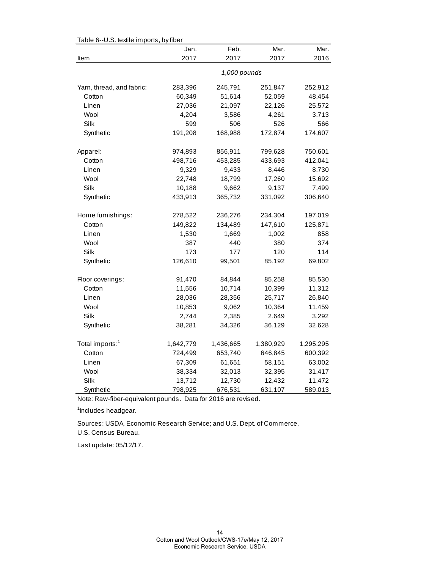| Table 6--0.5. textile imports, by fiber |           |              |           |           |  |
|-----------------------------------------|-----------|--------------|-----------|-----------|--|
|                                         | Jan.      | Feb.         | Mar.      | Mar.      |  |
| Item                                    | 2017      | 2017         | 2017      | 2016      |  |
|                                         |           | 1,000 pounds |           |           |  |
| Yarn, thread, and fabric:               | 283,396   | 245,791      | 251,847   | 252,912   |  |
| Cotton                                  | 60,349    | 51,614       | 52,059    | 48,454    |  |
| Linen                                   | 27,036    | 21,097       | 22,126    | 25,572    |  |
| Wool                                    | 4,204     | 3,586        | 4,261     | 3,713     |  |
| Silk                                    | 599       | 506          | 526       | 566       |  |
| Synthetic                               | 191,208   | 168,988      | 172,874   | 174,607   |  |
| Apparel:                                | 974,893   | 856,911      | 799,628   | 750,601   |  |
| Cotton                                  | 498,716   | 453,285      | 433,693   | 412,041   |  |
| Linen                                   | 9,329     | 9,433        | 8,446     | 8,730     |  |
| Wool                                    | 22,748    | 18,799       | 17,260    | 15,692    |  |
| Silk                                    | 10,188    | 9,662        | 9,137     | 7,499     |  |
| Synthetic                               | 433,913   | 365,732      | 331,092   | 306,640   |  |
| Home furnishings:                       | 278,522   | 236,276      | 234,304   | 197,019   |  |
| Cotton                                  | 149,822   | 134,489      | 147,610   | 125,871   |  |
| Linen                                   | 1,530     | 1,669        | 1,002     | 858       |  |
| Wool                                    | 387       | 440          | 380       | 374       |  |
| Silk                                    | 173       | 177          | 120       | 114       |  |
| Synthetic                               | 126,610   | 99,501       | 85,192    | 69,802    |  |
| Floor coverings:                        | 91,470    | 84,844       | 85,258    | 85,530    |  |
| Cotton                                  | 11,556    | 10,714       | 10,399    | 11,312    |  |
| Linen                                   | 28,036    | 28,356       | 25,717    | 26,840    |  |
| Wool                                    | 10,853    | 9,062        | 10,364    | 11,459    |  |
| Silk                                    | 2,744     | 2,385        | 2,649     | 3,292     |  |
| Synthetic                               | 38,281    | 34,326       | 36,129    | 32,628    |  |
| Total imports: <sup>1</sup>             | 1,642,779 | 1,436,665    | 1,380,929 | 1,295,295 |  |
| Cotton                                  | 724,499   | 653,740      | 646,845   | 600,392   |  |
| Linen                                   | 67,309    | 61,651       | 58,151    | 63,002    |  |
| Wool                                    | 38,334    | 32,013       | 32,395    | 31,417    |  |
| Silk                                    | 13,712    | 12,730       | 12,432    | 11,472    |  |
| Synthetic                               | 798,925   | 676,531      | 631,107   | 589,013   |  |

 $Table 6-11$ . S. textile importe, by fiber

Note: Raw-fiber-equivalent pounds. Data for 2016 are revised.

<sup>1</sup>Includes headgear.

U.S. Census Bureau. Sources: USDA, Economic Research Service; and U.S. Dept. of Commerce,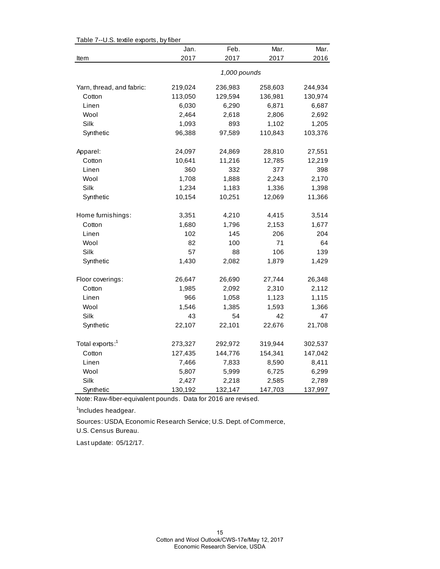| Table 7--0.5. textile exports, by liber | Jan.         | Feb.    | Mar.    | Mar.    |  |
|-----------------------------------------|--------------|---------|---------|---------|--|
| Item                                    | 2017         | 2017    | 2017    | 2016    |  |
|                                         | 1,000 pounds |         |         |         |  |
| Yarn, thread, and fabric:               | 219,024      | 236,983 | 258,603 | 244,934 |  |
| Cotton                                  | 113,050      | 129,594 | 136,981 | 130,974 |  |
| Linen                                   | 6,030        | 6,290   | 6,871   | 6,687   |  |
| Wool                                    | 2,464        | 2,618   | 2,806   | 2,692   |  |
| Silk                                    | 1,093        | 893     | 1,102   | 1,205   |  |
| Synthetic                               | 96,388       | 97,589  | 110,843 | 103,376 |  |
| Apparel:                                | 24,097       | 24,869  | 28,810  | 27,551  |  |
| Cotton                                  | 10,641       | 11,216  | 12,785  | 12,219  |  |
| Linen                                   | 360          | 332     | 377     | 398     |  |
| Wool                                    | 1,708        | 1,888   | 2,243   | 2,170   |  |
| Silk                                    | 1,234        | 1,183   | 1,336   | 1,398   |  |
| Synthetic                               | 10,154       | 10,251  | 12,069  | 11,366  |  |
| Home furnishings:                       | 3,351        | 4,210   | 4,415   | 3,514   |  |
| Cotton                                  | 1,680        | 1,796   | 2,153   | 1,677   |  |
| Linen                                   | 102          | 145     | 206     | 204     |  |
| Wool                                    | 82           | 100     | 71      | 64      |  |
| Silk                                    | 57           | 88      | 106     | 139     |  |
| Synthetic                               | 1,430        | 2,082   | 1,879   | 1,429   |  |
| Floor coverings:                        | 26,647       | 26,690  | 27,744  | 26,348  |  |
| Cotton                                  | 1,985        | 2,092   | 2,310   | 2,112   |  |
| Linen                                   | 966          | 1,058   | 1,123   | 1,115   |  |
| Wool                                    | 1,546        | 1,385   | 1,593   | 1,366   |  |
| Silk                                    | 43           | 54      | 42      | 47      |  |
| Synthetic                               | 22,107       | 22,101  | 22,676  | 21,708  |  |
| Total exports: <sup>1</sup>             | 273,327      | 292,972 | 319,944 | 302,537 |  |
| Cotton                                  | 127,435      | 144,776 | 154,341 | 147,042 |  |
| Linen                                   | 7,466        | 7,833   | 8,590   | 8,411   |  |
| Wool                                    | 5,807        | 5,999   | 6,725   | 6,299   |  |
| Silk                                    | 2,427        | 2,218   | 2,585   | 2,789   |  |
| Synthetic                               | 130,192      | 132,147 | 147,703 | 137,997 |  |

Table 7--U.S. textile exports, by fiber

Note: Raw-fiber-equivalent pounds. Data for 2016 are revised.

<sup>1</sup>Includes headgear.

U.S. Census Bureau. Sources: USDA, Economic Research Service; U.S. Dept. of Commerce,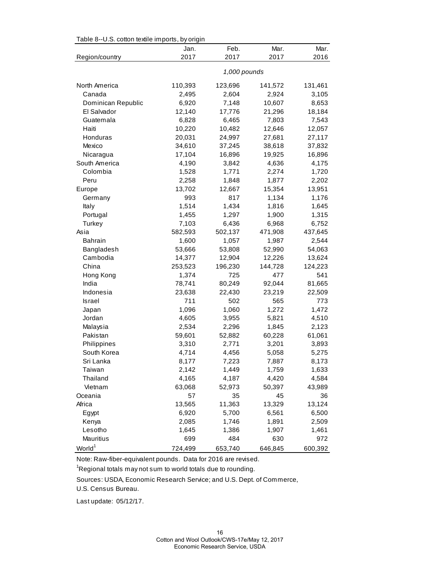| Table 8--U.S. cotton textile imports, by origin |              |         |         |         |  |
|-------------------------------------------------|--------------|---------|---------|---------|--|
|                                                 | Jan.         | Feb.    | Mar.    | Mar.    |  |
| Region/country                                  | 2017         | 2017    | 2017    | 2016    |  |
|                                                 | 1,000 pounds |         |         |         |  |
| North America                                   | 110,393      | 123,696 | 141,572 | 131,461 |  |
| Canada                                          | 2,495        | 2,604   | 2,924   | 3,105   |  |
| Dominican Republic                              | 6,920        | 7,148   | 10,607  | 8,653   |  |
| El Salvador                                     | 12,140       | 17,776  | 21,296  | 18,184  |  |
| Guatemala                                       | 6,828        | 6,465   | 7,803   | 7,543   |  |
| Haiti                                           | 10,220       | 10,482  | 12,646  | 12,057  |  |
| Honduras                                        | 20,031       | 24,997  | 27,681  | 27,117  |  |
| Mexico                                          | 34,610       | 37,245  | 38,618  | 37,832  |  |
| Nicaragua                                       | 17,104       | 16,896  | 19,925  | 16,896  |  |
| South America                                   | 4,190        | 3,842   | 4,636   | 4,175   |  |
| Colombia                                        | 1,528        | 1,771   | 2,274   | 1,720   |  |
| Peru                                            | 2,258        | 1,848   | 1,877   | 2,202   |  |
| Europe                                          | 13,702       | 12,667  | 15,354  | 13,951  |  |
| Germany                                         | 993          | 817     | 1,134   | 1,176   |  |
| Italy                                           | 1,514        | 1,434   | 1,816   | 1,645   |  |
| Portugal                                        | 1,455        | 1,297   | 1,900   | 1,315   |  |
| Turkey                                          | 7,103        | 6,436   | 6,968   | 6,752   |  |
| Asia                                            | 582,593      | 502,137 | 471,908 | 437,645 |  |
| <b>Bahrain</b>                                  | 1,600        | 1,057   | 1,987   | 2,544   |  |
| Bangladesh                                      | 53,666       | 53,808  | 52,990  | 54,063  |  |
| Cambodia                                        | 14,377       | 12,904  | 12,226  | 13,624  |  |
| China                                           | 253,523      | 196,230 | 144,728 | 124,223 |  |
| Hong Kong                                       | 1,374        | 725     | 477     | 541     |  |
| India                                           | 78,741       | 80,249  | 92,044  | 81,665  |  |
| Indonesia                                       | 23,638       | 22,430  | 23,219  | 22,509  |  |
| Israel                                          | 711          | 502     | 565     | 773     |  |
| Japan                                           | 1,096        | 1,060   | 1,272   | 1,472   |  |
| Jordan                                          | 4,605        | 3,955   | 5,821   | 4,510   |  |
| Malaysia                                        | 2,534        | 2,296   | 1,845   | 2,123   |  |
| Pakistan                                        | 59,601       | 52,882  | 60,228  | 61,061  |  |
| Philippines                                     | 3,310        | 2,771   | 3,201   | 3,893   |  |
| South Korea                                     | 4,714        | 4,456   | 5,058   | 5,275   |  |
| Sri Lanka                                       | 8,177        | 7,223   | 7,887   | 8,173   |  |
| Taiwan                                          | 2,142        | 1,449   | 1,759   | 1,633   |  |
| Thailand                                        | 4,165        | 4,187   | 4,420   | 4,584   |  |
| Vietnam                                         | 63,068       | 52,973  | 50,397  | 43,989  |  |
| Oceania                                         | 57           | 35      | 45      | 36      |  |
| Africa                                          | 13,565       | 11,363  | 13,329  | 13,124  |  |
| Egypt                                           | 6,920        | 5,700   | 6,561   | 6,500   |  |
| Kenya                                           | 2,085        | 1,746   | 1,891   | 2,509   |  |
| Lesotho                                         | 1,645        | 1,386   | 1,907   | 1,461   |  |
| Mauritius                                       | 699          | 484     | 630     | 972     |  |
| World <sup>1</sup>                              | 724,499      | 653,740 | 646,845 | 600,392 |  |

 $Table 8-11C$  cotton textile imports, by original

Note: Raw-fiber-equivalent pounds. Data for 2016 are revised.

<sup>1</sup>Regional totals may not sum to world totals due to rounding.

Sources: USDA, Economic Research Service; and U.S. Dept. of Commerce,

U.S. Census Bureau.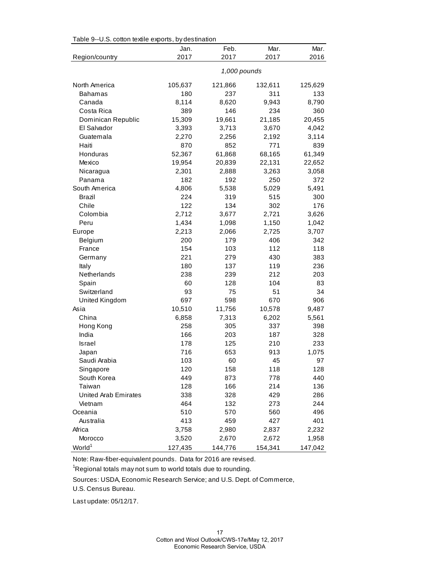| rable 9--0.3. Conon textile exports, by destination |         |              |         |         |
|-----------------------------------------------------|---------|--------------|---------|---------|
|                                                     | Jan.    | Feb.         | Mar.    | Mar.    |
| Region/country                                      | 2017    | 2017         | 2017    | 2016    |
|                                                     |         | 1,000 pounds |         |         |
| North America                                       | 105,637 | 121,866      | 132,611 | 125,629 |
| <b>Bahamas</b>                                      | 180     | 237          | 311     | 133     |
| Canada                                              | 8,114   | 8,620        | 9,943   | 8,790   |
| Costa Rica                                          | 389     | 146          | 234     | 360     |
| Dominican Republic                                  | 15,309  | 19,661       | 21,185  | 20,455  |
| El Salvador                                         | 3,393   | 3,713        | 3,670   | 4,042   |
| Guatemala                                           | 2,270   | 2,256        | 2,192   | 3,114   |
| Haiti                                               | 870     | 852          | 771     | 839     |
| Honduras                                            | 52,367  | 61,868       | 68,165  | 61,349  |
| Mexico                                              | 19,954  | 20,839       | 22,131  | 22,652  |
| Nicaragua                                           | 2,301   | 2,888        | 3,263   | 3,058   |
| Panama                                              | 182     | 192          | 250     | 372     |
| South America                                       | 4,806   | 5,538        | 5,029   | 5,491   |
| <b>Brazil</b>                                       | 224     | 319          | 515     | 300     |
| Chile                                               | 122     | 134          | 302     | 176     |
| Colombia                                            | 2,712   | 3,677        | 2,721   | 3,626   |
| Peru                                                | 1,434   | 1,098        | 1,150   | 1,042   |
| Europe                                              | 2,213   | 2,066        | 2,725   | 3,707   |
| Belgium                                             | 200     | 179          | 406     | 342     |
| France                                              | 154     | 103          | 112     | 118     |
| Germany                                             | 221     | 279          | 430     | 383     |
| Italy                                               | 180     | 137          | 119     | 236     |
| Netherlands                                         | 238     | 239          | 212     | 203     |
| Spain                                               | 60      | 128          | 104     | 83      |
| Switzerland                                         | 93      | 75           | 51      | 34      |
| United Kingdom                                      | 697     | 598          | 670     | 906     |
| Asia                                                | 10,510  | 11,756       | 10,578  | 9,487   |
| China                                               | 6,858   | 7,313        | 6,202   | 5,561   |
| Hong Kong                                           | 258     | 305          | 337     | 398     |
| India                                               | 166     | 203          | 187     | 328     |
| Israel                                              | 178     | 125          | 210     | 233     |
| Japan                                               | 716     | 653          | 913     | 1,075   |
| Saudi Arabia                                        | 103     | 60           | 45      | 97      |
| Singapore                                           | 120     | 158          | 118     | 128     |
| South Korea                                         | 449     | 873          | 778     | 440     |
| Taiwan                                              | 128     | 166          | 214     | 136     |
| United Arab Emirates                                | 338     | 328          | 429     | 286     |
| Vietnam                                             | 464     | 132          | 273     | 244     |
| Oceania                                             | 510     | 570          | 560     | 496     |
| Australia                                           | 413     | 459          | 427     | 401     |
| Africa                                              | 3,758   | 2,980        | 2,837   | 2,232   |
| Morocco                                             | 3,520   | 2,670        | 2,672   | 1,958   |
| World <sup>1</sup>                                  | 127,435 | 144,776      | 154,341 | 147,042 |

Table 9--U.S. cotton textile exports, by destination

Note: Raw-fiber-equivalent pounds. Data for 2016 are revised.

 $\mathrm{{}^1}$ Regional totals may not sum to world totals due to rounding.

Sources: USDA, Economic Research Service; and U.S. Dept. of Commerce,

U.S. Census Bureau.